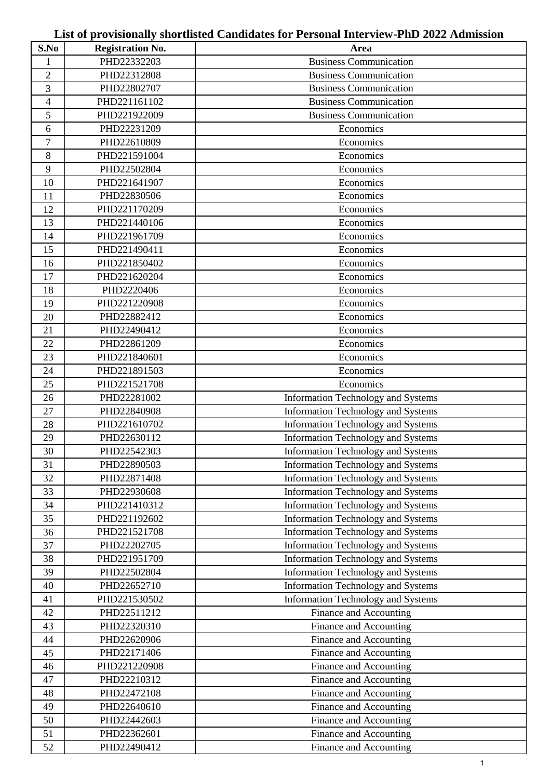# **S.No Registration No. Area** PHD22332203 Business Communication 2 PHD22312808 Business Communication PHD22802707 Business Communication 4 | PHD221161102 | Business Communication PHD221922009 Business Communication PHD22231209 Economics PHD22610809 Economics 8 PHD221591004 Economics PHD22502804 Economics **PHD221641907** emphasis extending the extending extending the extending term in the extending term in the extending term in the extending term in the extending term in the extending of the extending term in the extendin **PHD22830506** Economics PHD221170209 Economics 13 PHD221440106 **Example 18** Economics PHD221961709 Economics PHD221490411 Economics PHD221850402 Economics **PHD221620204** Economics **PHD2220406 example 18** Economics PHD221220908 Economics 20 PHD22882412 Economics 21 PHD22490412 Economics **PHD22861209** Economics 23 PHD221840601 Economics PHD221891503 Economics 25 PHD221521708 Economics 26 | PHD22281002 | Information Technology and Systems 27 PHD22840908 11 Information Technology and Systems 28 PHD221610702 | Information Technology and Systems 29 PHD22630112 Information Technology and Systems PHD22542303 Information Technology and Systems PHD22890503 Information Technology and Systems 32 | PHD22871408 | Information Technology and Systems PHD22930608 Information Technology and Systems **PHD221410312** 1 Information Technology and Systems PHD221192602 Information Technology and Systems PHD221521708 Information Technology and Systems 37 PHD22202705 11 Information Technology and Systems **PHD221951709** Information Technology and Systems PHD22502804 Information Technology and Systems 40 PHD22652710 Information Technology and Systems PHD221530502 Information Technology and Systems PHD22511212 Finance and Accounting PHD22320310 Finance and Accounting PHD22620906 Finance and Accounting PHD22171406 Finance and Accounting PHD221220908 Finance and Accounting PHD22210312 Finance and Accounting PHD22472108 Finance and Accounting PHD22640610 Finance and Accounting PHD22442603 Finance and Accounting PHD22362601 Finance and Accounting

PHD22490412 Finance and Accounting

### **List of provisionally shortlisted Candidates for Personal Interview-PhD 2022 Admission**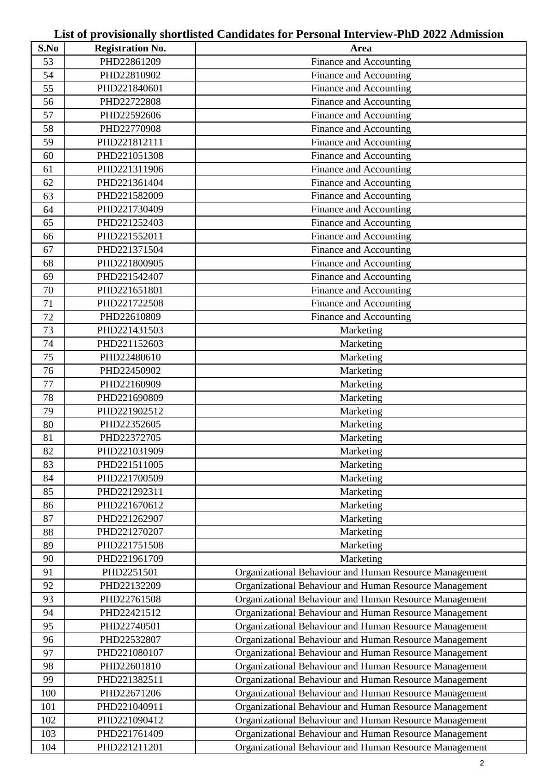# **S.No Registration No. Area** PHD22861209 Finance and Accounting PHD22810902 Finance and Accounting PHD221840601 Finance and Accounting PHD22722808 Finance and Accounting PHD22592606 Finance and Accounting PHD22770908 Finance and Accounting PHD221812111 Finance and Accounting PHD221051308 Finance and Accounting PHD221311906 Finance and Accounting PHD221361404 Finance and Accounting PHD221582009 Finance and Accounting PHD221730409 Finance and Accounting PHD221252403 Finance and Accounting PHD221552011 Finance and Accounting PHD221371504 Finance and Accounting PHD221800905 Finance and Accounting PHD221542407 Finance and Accounting PHD221651801 Finance and Accounting PHD221722508 Finance and Accounting PHD22610809 Finance and Accounting PHD221431503 Marketing PHD221152603 Marketing PHD22480610 Marketing PHD22450902 Marketing PHD22160909 Marketing PHD221690809 Marketing PHD221902512 Marketing 80 PHD22352605 1 Marketing PHD22372705 Marketing 82 PHD221031909 PHD221031909 PHD221031909 PHD221031909 PMarketing 83 PHD221511005 **Marketing** 84 PHD221700509 1 Marketing 85 PHD221292311 1 86 PHD221670612 and the Marketing 87 PHD221262907 1 88 PHD221270207 1 Marketing 89 PHD221751508 PHD221751508 Marketing 90 PHD221961709 | Marketing PHD2251501 Organizational Behaviour and Human Resource Management PHD22132209 Organizational Behaviour and Human Resource Management PHD22761508 Organizational Behaviour and Human Resource Management PHD22421512 Organizational Behaviour and Human Resource Management PHD22740501 Organizational Behaviour and Human Resource Management PHD22532807 Organizational Behaviour and Human Resource Management PHD221080107 Organizational Behaviour and Human Resource Management PHD22601810 Organizational Behaviour and Human Resource Management 99 | PHD221382511 | Organizational Behaviour and Human Resource Management PHD22671206 Organizational Behaviour and Human Resource Management PHD221040911 Organizational Behaviour and Human Resource Management PHD221090412 Organizational Behaviour and Human Resource Management PHD221761409 Organizational Behaviour and Human Resource Management PHD221211201 Organizational Behaviour and Human Resource Management

#### **List of provisionally shortlisted Candidates for Personal Interview-PhD 2022 Admission**